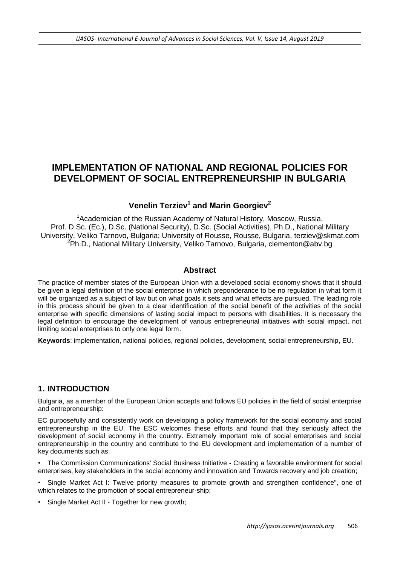# **IMPLEMENTATION OF NATIONAL AND REGIONAL POLICIES FOR DEVELOPMENT OF SOCIAL ENTREPRENEURSHIP IN BULGARIA**

# **Venelin Terziev<sup>1</sup> and Мarin Georgiev<sup>2</sup>**

<sup>1</sup> Academician of the Russian Academy of Natural History, Moscow, Russia, Prof. D.Sc. (Ec.), D.Sc. (National Security), D.Sc. (Social Activities), Ph.D., National Military University, Veliko Tarnovo, Bulgaria; University of Rousse, Rousse, Bulgaria, [terziev@skmat.com](mailto:terziev@skmat.com)  ${}^{2}$ Ph.D., National Military University, Veliko Tarnovo, Bulgaria, clementon@abv.bg

# **Abstract**

The practice of member states of the European Union with a developed social economy shows that it should be given a legal definition of the social enterprise in which preponderance to be no regulation in what form it will be organized as a subject of law but on what goals it sets and what effects are pursued. The leading role in this process should be given to a clear identification of the social benefit of the activities of the social enterprise with specific dimensions of lasting social impact to persons with disabilities. It is necessary the legal definition to encourage the development of various entrepreneurial initiatives with social impact, not limiting social enterprises to only one legal form.

**Keywords**: implementation, national policies, regional policies, development, social entrepreneurship, EU.

# **1. INTRODUCTION**

Bulgaria, as a member of the European Union accepts and follows EU policies in the field of social enterprise and entrepreneurship:

EC purposefully and consistently work on developing a policy framework for the social economy and social entrepreneurship in the EU. The ESC welcomes these efforts and found that they seriously affect the development of social economy in the country. Extremely important role of social enterprises and social entrepreneurship in the country and contribute to the EU development and implementation of a number of key documents such as:

• The Commission Communications' Social Business Initiative - Creating a favorable environment for social enterprises, key stakeholders in the social economy and innovation and Towards recovery and job creation;

Single Market Act I: Twelve priority measures to promote growth and strengthen confidence", one of which relates to the promotion of social entrepreneur-ship;

Single Market Act II - Together for new growth;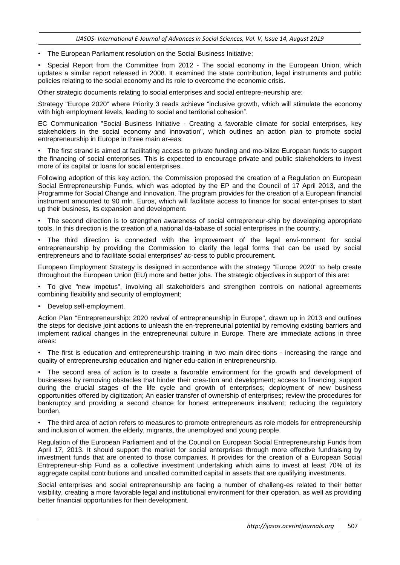• The European Parliament resolution on the Social Business Initiative;

• Special Report from the Committee from 2012 - The social economy in the European Union, which updates a similar report released in 2008. It examined the state contribution, legal instruments and public policies relating to the social economy and its role to overcome the economic crisis.

Other strategic documents relating to social enterprises and social entrepre-neurship are:

Strategy "Europe 2020" where Priority 3 reads achieve "inclusive growth, which will stimulate the economy with high employment levels, leading to social and territorial cohesion".

EC Communication "Social Business Initiative - Creating a favorable climate for social enterprises, key stakeholders in the social economy and innovation", which outlines an action plan to promote social entrepreneurship in Europe in three main ar-eas:

• The first strand is aimed at facilitating access to private funding and mo-bilize European funds to support the financing of social enterprises. This is expected to encourage private and public stakeholders to invest more of its capital or loans for social enterprises.

Following adoption of this key action, the Commission proposed the creation of a Regulation on European Social Entrepreneurship Funds, which was adopted by the EP and the Council of 17 April 2013, and the Programme for Social Change and Innovation. The program provides for the creation of a European financial instrument amounted to 90 mln. Euros, which will facilitate access to finance for social enter-prises to start up their business, its expansion and development.

• The second direction is to strengthen awareness of social entrepreneur-ship by developing appropriate tools. In this direction is the creation of a national da-tabase of social enterprises in the country.

• The third direction is connected with the improvement of the legal envi-ronment for social entrepreneurship by providing the Commission to clarify the legal forms that can be used by social entrepreneurs and to facilitate social enterprises' ac-cess to public procurement.

European Employment Strategy is designed in accordance with the strategy "Europe 2020" to help create throughout the European Union (EU) more and better jobs. The strategic objectives in support of this are:

• To give "new impetus", involving all stakeholders and strengthen controls on national agreements combining flexibility and security of employment;

• Develop self-employment.

Action Plan "Entrepreneurship: 2020 revival of entrepreneurship in Europe", drawn up in 2013 and outlines the steps for decisive joint actions to unleash the en-trepreneurial potential by removing existing barriers and implement radical changes in the entrepreneurial culture in Europe. There are immediate actions in three areas:

The first is education and entrepreneurship training in two main direc-tions - increasing the range and quality of entrepreneurship education and higher edu-cation in entrepreneurship.

• The second area of action is to create a favorable environment for the growth and development of businesses by removing obstacles that hinder their crea-tion and development; access to financing; support during the crucial stages of the life cycle and growth of enterprises; deployment of new business opportunities offered by digitization; An easier transfer of ownership of enterprises; review the procedures for bankruptcy and providing a second chance for honest entrepreneurs insolvent; reducing the regulatory burden.

• The third area of action refers to measures to promote entrepreneurs as role models for entrepreneurship and inclusion of women, the elderly, migrants, the unemployed and young people.

Regulation of the European Parliament and of the Council on European Social Entrepreneurship Funds from April 17, 2013. It should support the market for social enterprises through more effective fundraising by investment funds that are oriented to those companies. It provides for the creation of a European Social Entrepreneur-ship Fund as a collective investment undertaking which aims to invest at least 70% of its aggregate capital contributions and uncalled committed capital in assets that are qualifying investments.

Social enterprises and social entrepreneurship are facing a number of challeng-es related to their better visibility, creating a more favorable legal and institutional environment for their operation, as well as providing better financial opportunities for their development.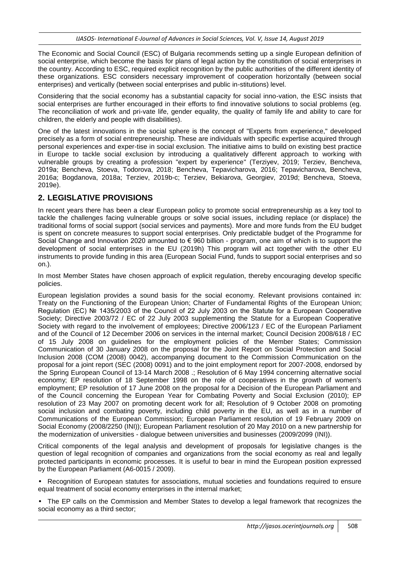The Economic and Social Council (ESC) of Bulgaria recommends setting up a single European definition of social enterprise, which become the basis for plans of legal action by the constitution of social enterprises in the country. According to ESC, required explicit recognition by the public authorities of the different identity of these organizations. ESC considers necessary improvement of cooperation horizontally (between social enterprises) and vertically (between social enterprises and public in-stitutions) level.

Considering that the social economy has a substantial capacity for social inno-vation, the ESC insists that social enterprises are further encouraged in their efforts to find innovative solutions to social problems (eg. The reconciliation of work and pri-vate life, gender equality, the quality of family life and ability to care for children, the elderly and people with disabilities).

One of the latest innovations in the social sphere is the concept of "Experts from experience," developed precisely as a form of social entrepreneurship. These are individuals with specific expertise acquired through personal experiences and exper-tise in social exclusion. The initiative aims to build on existing best practice in Europe to tackle social exclusion by introducing a qualitatively different approach to working with vulnerable groups by creating a profession "expert by experience" (Terziyev, 2019; Terziev, Bencheva, 2019а; Bencheva, Stoeva, Todorova, 2018; Bencheva, Tepavicharova, 2016; Tepavicharova, Bencheva, 2016а; Bogdanova, 2018a; Terziev, 2019b-c; Terziev, Bekiarova, Georgiev, 2019d; Bencheva, Stoeva, 2019e).

# **2. LEGISLATIVE PROVISIONS**

In recent years there has been a clear European policy to promote social entrepreneurship as a key tool to tackle the challenges facing vulnerable groups or solve social issues, including replace (or displace) the traditional forms of social support (social services and payments). More and more funds from the EU budget is spent on concrete measures to support social enterprises. Only predictable budget of the Programme for Social Change and Innovation 2020 amounted to € 960 billion - program, one aim of which is to support the development of social enterprises in the EU (2019h) This program will act together with the other EU instruments to provide funding in this area (European Social Fund, funds to support social enterprises and so on.).

In most Member States have chosen approach of explicit regulation, thereby encouraging develop specific policies.

European legislation provides a sound basis for the social economy. Relevant provisions contained in: Treaty on the Functioning of the European Union; Charter of Fundamental Rights of the European Union; Regulation (EC) № 1435/2003 of the Council of 22 July 2003 on the Statute for a European Cooperative Society; Directive 2003/72 / EC of 22 July 2003 supplementing the Statute for a European Cooperative Society with regard to the involvement of employees; Directive 2006/123 / EC of the European Parliament and of the Council of 12 December 2006 on services in the internal market; Council Decision 2008/618 / EC of 15 July 2008 on guidelines for the employment policies of the Member States; Commission Communication of 30 January 2008 on the proposal for the Joint Report on Social Protection and Social Inclusion 2008 (COM (2008) 0042), accompanying document to the Commission Communication on the proposal for a joint report (SEC (2008) 0091) and to the joint employment report for 2007-2008, endorsed by the Spring European Council of 13-14 March 2008 .; Resolution of 6 May 1994 concerning alternative social economy; EP resolution of 18 September 1998 on the role of cooperatives in the growth of women's employment; EP resolution of 17 June 2008 on the proposal for a Decision of the European Parliament and of the Council concerning the European Year for Combating Poverty and Social Exclusion (2010); EP resolution of 23 May 2007 on promoting decent work for all; Resolution of 9 October 2008 on promoting social inclusion and combating poverty, including child poverty in the EU, as well as in a number of Communications of the European Commission; European Parliament resolution of 19 February 2009 on Social Economy (2008/2250 (INI)); European Parliament resolution of 20 May 2010 on a new partnership for the modernization of universities - dialogue between universities and businesses (2009/2099 (INI)).

Critical components of the legal analysis and development of proposals for legislative changes is the question of legal recognition of companies and organizations from the social economy as real and legally protected participants in economic processes. It is useful to bear in mind the European position expressed by the European Parliament (A6-0015 / 2009).

• Recognition of European statutes for associations, mutual societies and foundations required to ensure equal treatment of social economy enterprises in the internal market;

• The EP calls on the Commission and Member States to develop a legal framework that recognizes the social economy as a third sector;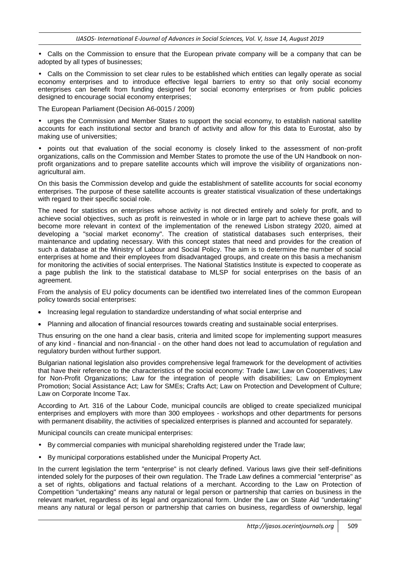• Calls on the Commission to ensure that the European private company will be a company that can be adopted by all types of businesses;

• Calls on the Commission to set clear rules to be established which entities can legally operate as social economy enterprises and to introduce effective legal barriers to entry so that only social economy enterprises can benefit from funding designed for social economy enterprises or from public policies designed to encourage social economy enterprises;

The European Parliament (Decision A6-0015 / 2009)

• urges the Commission and Member States to support the social economy, to establish national satellite accounts for each institutional sector and branch of activity and allow for this data to Eurostat, also by making use of universities;

• points out that evaluation of the social economy is closely linked to the assessment of non-profit organizations, calls on the Commission and Member States to promote the use of the UN Handbook on nonprofit organizations and to prepare satellite accounts which will improve the visibility of organizations nonagricultural aim.

On this basis the Commission develop and guide the establishment of satellite accounts for social economy enterprises. The purpose of these satellite accounts is greater statistical visualization of these undertakings with regard to their specific social role.

The need for statistics on enterprises whose activity is not directed entirely and solely for profit, and to achieve social objectives, such as profit is reinvested in whole or in large part to achieve these goals will become more relevant in context of the implementation of the renewed Lisbon strategy 2020, aimed at developing a "social market economy". The creation of statistical databases such enterprises, their maintenance and updating necessary. With this concept states that need and provides for the creation of such a database at the Ministry of Labour and Social Policy. The aim is to determine the number of social enterprises at home and their employees from disadvantaged groups, and create on this basis a mechanism for monitoring the activities of social enterprises. The National Statistics Institute is expected to cooperate as a page publish the link to the statistical database to MLSP for social enterprises on the basis of an agreement.

From the analysis of EU policy documents can be identified two interrelated lines of the common European policy towards social enterprises:

- Increasing legal regulation to standardize understanding of what social enterprise and
- Planning and allocation of financial resources towards creating and sustainable social enterprises.

Thus ensuring on the one hand a clear basis, criteria and limited scope for implementing support measures of any kind - financial and non-financial - on the other hand does not lead to accumulation of regulation and regulatory burden without further support.

Bulgarian national legislation also provides comprehensive legal framework for the development of activities that have their reference to the characteristics of the social economy: Trade Law; Law on Cooperatives; Law for Non-Profit Organizations; Law for the integration of people with disabilities; Law on Employment Promotion; Social Assistance Act; Law for SMEs; Crafts Act; Law on Protection and Development of Culture; Law on Corporate Income Tax.

According to Art. 316 of the Labour Code, municipal councils are obliged to create specialized municipal enterprises and employers with more than 300 employees - workshops and other departments for persons with permanent disability, the activities of specialized enterprises is planned and accounted for separately.

Municipal councils can create municipal enterprises:

- By commercial companies with municipal shareholding registered under the Trade law;
- By municipal corporations established under the Municipal Property Act.

In the current legislation the term "enterprise" is not clearly defined. Various laws give their self-definitions intended solely for the purposes of their own regulation. The Trade Law defines a commercial "enterprise" as a set of rights, obligations and factual relations of a merchant. According to the Law on Protection of Competition "undertaking" means any natural or legal person or partnership that carries on business in the relevant market, regardless of its legal and organizational form. Under the Law on State Aid "undertaking" means any natural or legal person or partnership that carries on business, regardless of ownership, legal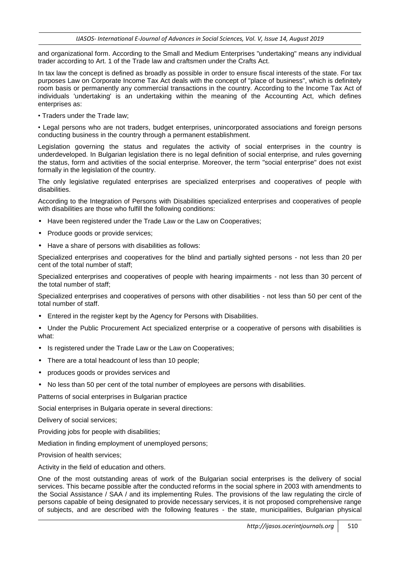and organizational form. According to the Small and Medium Enterprises "undertaking" means any individual trader according to Art. 1 of the Trade law and craftsmen under the Crafts Act.

In tax law the concept is defined as broadly as possible in order to ensure fiscal interests of the state. For tax purposes Law on Corporate Income Tax Act deals with the concept of "place of business", which is definitely room basis or permanently any commercial transactions in the country. According to the Income Tax Act of individuals 'undertaking' is an undertaking within the meaning of the Accounting Act, which defines enterprises as:

• Traders under the Trade law;

• Legal persons who are not traders, budget enterprises, unincorporated associations and foreign persons conducting business in the country through a permanent establishment.

Legislation governing the status and regulates the activity of social enterprises in the country is underdeveloped. In Bulgarian legislation there is no legal definition of social enterprise, and rules governing the status, form and activities of the social enterprise. Moreover, the term "social enterprise" does not exist formally in the legislation of the country.

The only legislative regulated enterprises are specialized enterprises and cooperatives of people with disabilities.

According to the Integration of Persons with Disabilities specialized enterprises and cooperatives of people with disabilities are those who fulfill the following conditions:

- Have been registered under the Trade Law or the Law on Cooperatives;
- Produce goods or provide services:
- Have a share of persons with disabilities as follows:

Specialized enterprises and cooperatives for the blind and partially sighted persons - not less than 20 per cent of the total number of staff;

Specialized enterprises and cooperatives of people with hearing impairments - not less than 30 percent of the total number of staff;

Specialized enterprises and cooperatives of persons with other disabilities - not less than 50 per cent of the total number of staff.

• Entered in the register kept by the Agency for Persons with Disabilities.

• Under the Public Procurement Act specialized enterprise or a cooperative of persons with disabilities is what:

- Is registered under the Trade Law or the Law on Cooperatives;
- There are a total headcount of less than 10 people;
- produces goods or provides services and
- No less than 50 per cent of the total number of employees are persons with disabilities.

Patterns of social enterprises in Bulgarian practice

Social enterprises in Bulgaria operate in several directions:

Delivery of social services;

Providing jobs for people with disabilities;

Mediation in finding employment of unemployed persons;

Provision of health services;

Activity in the field of education and others.

One of the most outstanding areas of work of the Bulgarian social enterprises is the delivery of social services. This became possible after the conducted reforms in the social sphere in 2003 with amendments to the Social Assistance / SAA / and its implementing Rules. The provisions of the law regulating the circle of persons capable of being designated to provide necessary services, it is not proposed comprehensive range of subjects, and are described with the following features - the state, municipalities, Bulgarian physical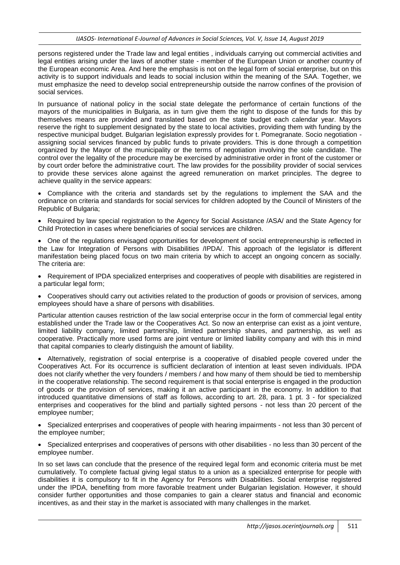persons registered under the Trade law and legal entities , individuals carrying out commercial activities and legal entities arising under the laws of another state - member of the European Union or another country of the European economic Area. And here the emphasis is not on the legal form of social enterprise, but on this activity is to support individuals and leads to social inclusion within the meaning of the SAA. Together, we must emphasize the need to develop social entrepreneurship outside the narrow confines of the provision of social services.

In pursuance of national policy in the social state delegate the performance of certain functions of the mayors of the municipalities in Bulgaria, as in turn give them the right to dispose of the funds for this by themselves means are provided and translated based on the state budget each calendar year. Mayors reserve the right to supplement designated by the state to local activities, providing them with funding by the respective municipal budget. Bulgarian legislation expressly provides for t. Pomegranate. Socio negotiation assigning social services financed by public funds to private providers. This is done through a competition organized by the Mayor of the municipality or the terms of negotiation involving the sole candidate. The control over the legality of the procedure may be exercised by administrative order in front of the customer or by court order before the administrative court. The law provides for the possibility provider of social services to provide these services alone against the agreed remuneration on market principles. The degree to achieve quality in the service appears:

 Compliance with the criteria and standards set by the regulations to implement the SAA and the ordinance on criteria and standards for social services for children adopted by the Council of Ministers of the Republic of Bulgaria;

• Required by law special registration to the Agency for Social Assistance /ASA/ and the State Agency for Child Protection in cases where beneficiaries of social services are children.

 One of the regulations envisaged opportunities for development of social entrepreneurship is reflected in the Law for Integration of Persons with Disabilities /IPDA/. This approach of the legislator is different manifestation being placed focus on two main criteria by which to accept an ongoing concern as socially. The criteria are:

• Requirement of IPDA specialized enterprises and cooperatives of people with disabilities are registered in a particular legal form;

 Cooperatives should carry out activities related to the production of goods or provision of services, among employees should have a share of persons with disabilities.

Particular attention causes restriction of the law social enterprise occur in the form of commercial legal entity established under the Trade law or the Cooperatives Act. So now an enterprise can exist as a joint venture, limited liability company, limited partnership, limited partnership shares, and partnership, as well as cooperative. Practically more used forms are joint venture or limited liability company and with this in mind that capital companies to clearly distinguish the amount of liability.

 Alternatively, registration of social enterprise is a cooperative of disabled people covered under the Cooperatives Act. For its occurrence is sufficient declaration of intention at least seven individuals. IPDA does not clarify whether the very founders / members / and how many of them should be tied to membership in the cooperative relationship. The second requirement is that social enterprise is engaged in the production of goods or the provision of services, making it an active participant in the economy. In addition to that introduced quantitative dimensions of staff as follows, according to art. 28, para. 1 pt. 3 - for specialized enterprises and cooperatives for the blind and partially sighted persons - not less than 20 percent of the employee number;

• Specialized enterprises and cooperatives of people with hearing impairments - not less than 30 percent of the employee number;

• Specialized enterprises and cooperatives of persons with other disabilities - no less than 30 percent of the employee number.

In so set laws can conclude that the presence of the required legal form and economic criteria must be met cumulatively. To complete factual giving legal status to a union as a specialized enterprise for people with disabilities it is compulsory to fit in the Agency for Persons with Disabilities. Social enterprise registered under the IPDA, benefiting from more favorable treatment under Bulgarian legislation. However, it should consider further opportunities and those companies to gain a clearer status and financial and economic incentives, as and their stay in the market is associated with many challenges in the market.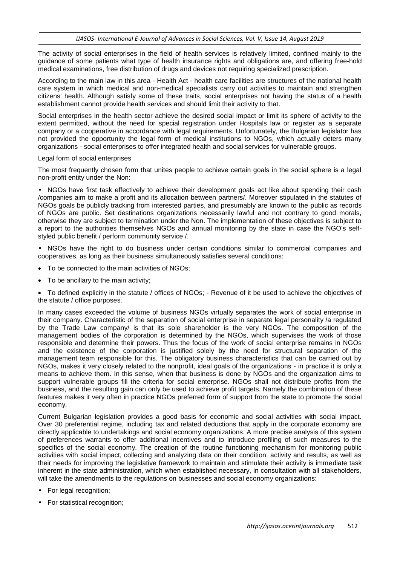The activity of social enterprises in the field of health services is relatively limited, confined mainly to the guidance of some patients what type of health insurance rights and obligations are, and offering free-hold medical examinations, free distribution of drugs and devices not requiring specialized prescription.

According to the main law in this area - Health Act - health care facilities are structures of the national health care system in which medical and non-medical specialists carry out activities to maintain and strengthen citizens' health. Although satisfy some of these traits, social enterprises not having the status of a health establishment cannot provide health services and should limit their activity to that.

Social enterprises in the health sector achieve the desired social impact or limit its sphere of activity to the extent permitted, without the need for special registration under Hospitals law or register as a separate company or a cooperative in accordance with legal requirements. Unfortunately, the Bulgarian legislator has not provided the opportunity the legal form of medical institutions to NGOs, which actually deters many organizations - social enterprises to offer integrated health and social services for vulnerable groups.

#### Legal form of social enterprises

The most frequently chosen form that unites people to achieve certain goals in the social sphere is a legal non-profit entity under the Non:

• NGOs have first task effectively to achieve their development goals act like about spending their cash /companies aim to make a profit and its allocation between partners/. Moreover stipulated in the statutes of NGOs goals be publicly tracking from interested parties, and presumably are known to the public as records of NGOs are public. Set destinations organizations necessarily lawful and not contrary to good morals, otherwise they are subject to termination under the Non. The implementation of these objectives is subject to a report to the authorities themselves NGOs and annual monitoring by the state in case the NGO's selfstyled public benefit / perform community service /.

• NGOs have the right to do business under certain conditions similar to commercial companies and cooperatives, as long as their business simultaneously satisfies several conditions:

- To be connected to the main activities of NGOs;
- To be ancillary to the main activity;

 To defined explicitly in the statute / offices of NGOs; - Revenue of it be used to achieve the objectives of the statute / office purposes.

In many cases exceeded the volume of business NGOs virtually separates the work of social enterprise in their company. Characteristic of the separation of social enterprise in separate legal personality /a regulated by the Trade Law company/ is that its sole shareholder is the very NGOs. The composition of the management bodies of the corporation is determined by the NGOs, which supervises the work of those responsible and determine their powers. Thus the focus of the work of social enterprise remains in NGOs and the existence of the corporation is justified solely by the need for structural separation of the management team responsible for this. The obligatory business characteristics that can be carried out by NGOs, makes it very closely related to the nonprofit, ideal goals of the organizations - in practice it is only a means to achieve them. In this sense, when that business is done by NGOs and the organization aims to support vulnerable groups fill the criteria for social enterprise. NGOs shall not distribute profits from the business, and the resulting gain can only be used to achieve profit targets. Namely the combination of these features makes it very often in practice NGOs preferred form of support from the state to promote the social economy.

Current Bulgarian legislation provides a good basis for economic and social activities with social impact. Over 30 preferential regime, including tax and related deductions that apply in the corporate economy are directly applicable to undertakings and social economy organizations. A more precise analysis of this system of preferences warrants to offer additional incentives and to introduce profiling of such measures to the specifics of the social economy. The creation of the routine functioning mechanism for monitoring public activities with social impact, collecting and analyzing data on their condition, activity and results, as well as their needs for improving the legislative framework to maintain and stimulate their activity is immediate task inherent in the state administration, which when established necessary, in consultation with all stakeholders, will take the amendments to the regulations on businesses and social economy organizations:

- For legal recognition;
- For statistical recognition;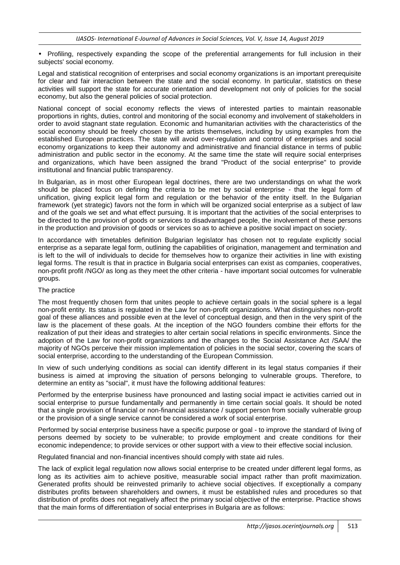• Profiling, respectively expanding the scope of the preferential arrangements for full inclusion in their subjects' social economy.

Legal and statistical recognition of enterprises and social economy organizations is an important prerequisite for clear and fair interaction between the state and the social economy. In particular, statistics on these activities will support the state for accurate orientation and development not only of policies for the social economy, but also the general policies of social protection.

National concept of social economy reflects the views of interested parties to maintain reasonable proportions in rights, duties, control and monitoring of the social economy and involvement of stakeholders in order to avoid stagnant state regulation. Economic and humanitarian activities with the characteristics of the social economy should be freely chosen by the artists themselves, including by using examples from the established European practices. The state will avoid over-regulation and control of enterprises and social economy organizations to keep their autonomy and administrative and financial distance in terms of public administration and public sector in the economy. At the same time the state will require social enterprises and organizations, which have been assigned the brand "Product of the social enterprise" to provide institutional and financial public transparency.

In Bulgarian, as in most other European legal doctrines, there are two understandings on what the work should be placed focus on defining the criteria to be met by social enterprise - that the legal form of unification, giving explicit legal form and regulation or the behavior of the entity itself. In the Bulgarian framework (yet strategic) favors not the form in which will be organized social enterprise as a subject of law and of the goals we set and what effect pursuing. It is important that the activities of the social enterprises to be directed to the provision of goods or services to disadvantaged people, the involvement of these persons in the production and provision of goods or services so as to achieve a positive social impact on society.

In accordance with timetables definition Bulgarian legislator has chosen not to regulate explicitly social enterprise as a separate legal form, outlining the capabilities of origination, management and termination and is left to the will of individuals to decide for themselves how to organize their activities in line with existing legal forms. The result is that in practice in Bulgaria social enterprises can exist as companies, cooperatives, non-profit profit /NGO/ as long as they meet the other criteria - have important social outcomes for vulnerable groups.

### The practice

The most frequently chosen form that unites people to achieve certain goals in the social sphere is a legal non-profit entity. Its status is regulated in the Law for non-profit organizations. What distinguishes non-profit goal of these alliances and possible even at the level of conceptual design, and then in the very spirit of the law is the placement of these goals. At the inception of the NGO founders combine their efforts for the realization of put their ideas and strategies to alter certain social relations in specific environments. Since the adoption of the Law for non-profit organizations and the changes to the Social Assistance Act /SAA/ the majority of NGOs perceive their mission implementation of policies in the social sector, covering the scars of social enterprise, according to the understanding of the European Commission.

In view of such underlying conditions as social can identify different in its legal status companies if their business is aimed at improving the situation of persons belonging to vulnerable groups. Therefore, to determine an entity as "social", it must have the following additional features:

Performed by the enterprise business have pronounced and lasting social impact ie activities carried out in social enterprise to pursue fundamentally and permanently in time certain social goals. It should be noted that a single provision of financial or non-financial assistance / support person from socially vulnerable group or the provision of a single service cannot be considered a work of social enterprise.

Performed by social enterprise business have a specific purpose or goal - to improve the standard of living of persons deemed by society to be vulnerable; to provide employment and create conditions for their economic independence; to provide services or other support with a view to their effective social inclusion.

Regulated financial and non-financial incentives should comply with state aid rules.

The lack of explicit legal regulation now allows social enterprise to be created under different legal forms, as long as its activities aim to achieve positive, measurable social impact rather than profit maximization. Generated profits should be reinvested primarily to achieve social objectives. If exceptionally a company distributes profits between shareholders and owners, it must be established rules and procedures so that distribution of profits does not negatively affect the primary social objective of the enterprise. Practice shows that the main forms of differentiation of social enterprises in Bulgaria are as follows: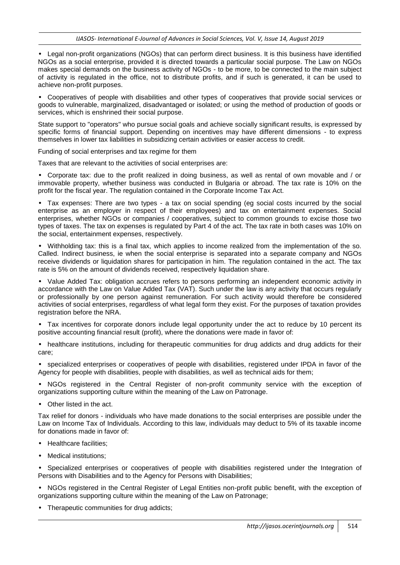• Legal non-profit organizations (NGOs) that can perform direct business. It is this business have identified NGOs as a social enterprise, provided it is directed towards a particular social purpose. The Law on NGOs makes special demands on the business activity of NGOs - to be more, to be connected to the main subject of activity is regulated in the office, not to distribute profits, and if such is generated, it can be used to achieve non-profit purposes.

• Cooperatives of people with disabilities and other types of cooperatives that provide social services or goods to vulnerable, marginalized, disadvantaged or isolated; or using the method of production of goods or services, which is enshrined their social purpose.

State support to "operators" who pursue social goals and achieve socially significant results, is expressed by specific forms of financial support. Depending on incentives may have different dimensions - to express themselves in lower tax liabilities in subsidizing certain activities or easier access to credit.

Funding of social enterprises and tax regime for them

Taxes that are relevant to the activities of social enterprises are:

• Corporate tax: due to the profit realized in doing business, as well as rental of own movable and / or immovable property, whether business was conducted in Bulgaria or abroad. The tax rate is 10% on the profit for the fiscal year. The regulation contained in the Corporate Income Tax Act.

• Tax expenses: There are two types - a tax on social spending (eg social costs incurred by the social enterprise as an employer in respect of their employees) and tax on entertainment expenses. Social enterprises, whether NGOs or companies / cooperatives, subject to common grounds to excise those two types of taxes. The tax on expenses is regulated by Part 4 of the act. The tax rate in both cases was 10% on the social, entertainment expenses, respectively.

• Withholding tax: this is a final tax, which applies to income realized from the implementation of the so. Called. Indirect business, ie when the social enterprise is separated into a separate company and NGOs receive dividends or liquidation shares for participation in him. The regulation contained in the act. The tax rate is 5% on the amount of dividends received, respectively liquidation share.

• Value Added Tax: obligation accrues refers to persons performing an independent economic activity in accordance with the Law on Value Added Tax (VAT). Such under the law is any activity that occurs regularly or professionally by one person against remuneration. For such activity would therefore be considered activities of social enterprises, regardless of what legal form they exist. For the purposes of taxation provides registration before the NRA.

• Tax incentives for corporate donors include legal opportunity under the act to reduce by 10 percent its positive accounting financial result (profit), where the donations were made in favor of:

• healthcare institutions, including for therapeutic communities for drug addicts and drug addicts for their care;

• specialized enterprises or cooperatives of people with disabilities, registered under IPDA in favor of the Agency for people with disabilities, people with disabilities, as well as technical aids for them;

• NGOs registered in the Central Register of non-profit community service with the exception of organizations supporting culture within the meaning of the Law on Patronage.

• Other listed in the act.

Tax relief for donors - individuals who have made donations to the social enterprises are possible under the Law on Income Tax of Individuals. According to this law, individuals may deduct to 5% of its taxable income for donations made in favor of:

- Healthcare facilities:
- Medical institutions:

• Specialized enterprises or cooperatives of people with disabilities registered under the Integration of Persons with Disabilities and to the Agency for Persons with Disabilities;

• NGOs registered in the Central Register of Legal Entities non-profit public benefit, with the exception of organizations supporting culture within the meaning of the Law on Patronage;

• Therapeutic communities for drug addicts;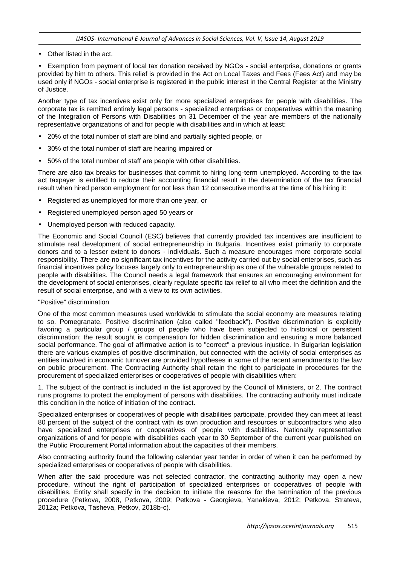• Other listed in the act.

• Exemption from payment of local tax donation received by NGOs - social enterprise, donations or grants provided by him to others. This relief is provided in the Act on Local Taxes and Fees (Fees Act) and may be used only if NGOs - social enterprise is registered in the public interest in the Central Register at the Ministry of Justice.

Another type of tax incentives exist only for more specialized enterprises for people with disabilities. The corporate tax is remitted entirely legal persons - specialized enterprises or cooperatives within the meaning of the Integration of Persons with Disabilities on 31 December of the year are members of the nationally representative organizations of and for people with disabilities and in which at least:

- 20% of the total number of staff are blind and partially sighted people, or
- 30% of the total number of staff are hearing impaired or
- 50% of the total number of staff are people with other disabilities.

There are also tax breaks for businesses that commit to hiring long-term unemployed. According to the tax act taxpayer is entitled to reduce their accounting financial result in the determination of the tax financial result when hired person employment for not less than 12 consecutive months at the time of his hiring it:

- Registered as unemployed for more than one year, or
- Registered unemployed person aged 50 years or
- Unemployed person with reduced capacity.

The Economic and Social Council (ESC) believes that currently provided tax incentives are insufficient to stimulate real development of social entrepreneurship in Bulgaria. Incentives exist primarily to corporate donors and to a lesser extent to donors - individuals. Such a measure encourages more corporate social responsibility. There are no significant tax incentives for the activity carried out by social enterprises, such as financial incentives policy focuses largely only to entrepreneurship as one of the vulnerable groups related to people with disabilities. The Council needs a legal framework that ensures an encouraging environment for the development of social enterprises, clearly regulate specific tax relief to all who meet the definition and the result of social enterprise, and with a view to its own activities.

#### "Positive" discrimination

One of the most common measures used worldwide to stimulate the social economy are measures relating to so. Pomegranate. Positive discrimination (also called "feedback"). Positive discrimination is explicitly favoring a particular group / groups of people who have been subjected to historical or persistent discrimination; the result sought is compensation for hidden discrimination and ensuring a more balanced social performance. The goal of affirmative action is to "correct" a previous injustice. In Bulgarian legislation there are various examples of positive discrimination, but connected with the activity of social enterprises as entities involved in economic turnover are provided hypotheses in some of the recent amendments to the law on public procurement. The Contracting Authority shall retain the right to participate in procedures for the procurement of specialized enterprises or cooperatives of people with disabilities when:

1. The subject of the contract is included in the list approved by the Council of Ministers, or 2. The contract runs programs to protect the employment of persons with disabilities. The contracting authority must indicate this condition in the notice of initiation of the contract.

Specialized enterprises or cooperatives of people with disabilities participate, provided they can meet at least 80 percent of the subject of the contract with its own production and resources or subcontractors who also have specialized enterprises or cooperatives of people with disabilities. Nationally representative organizations of and for people with disabilities each year to 30 September of the current year published on the Public Procurement Portal information about the capacities of their members.

Also contracting authority found the following calendar year tender in order of when it can be performed by specialized enterprises or cooperatives of people with disabilities.

When after the said procedure was not selected contractor, the contracting authority may open a new procedure, without the right of participation of specialized enterprises or cooperatives of people with disabilities. Entity shall specify in the decision to initiate the reasons for the termination of the previous procedure (Petkova, 2008, Petkova, 2009; Petkova - Georgieva, Yanakieva, 2012; Petkova, Strateva, 2012a; Petkova, Tasheva, Petkov, 2018b-c).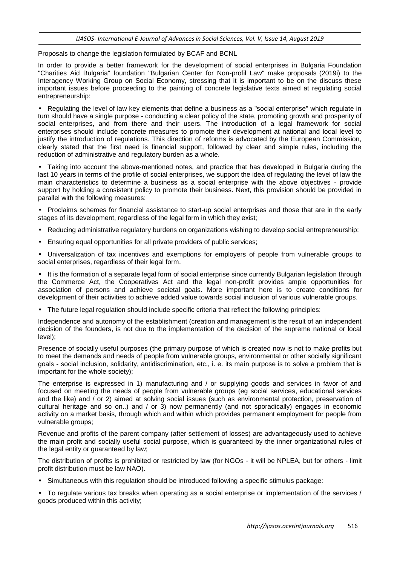Proposals to change the legislation formulated by BCAF and BCNL

In order to provide a better framework for the development of social enterprises in Bulgaria Foundation "Charities Aid Bulgaria" foundation "Bulgarian Center for Non-profil Law" make proposals (2019i) to the Interagency Working Group on Social Economy, stressing that it is important to be on the discuss these important issues before proceeding to the painting of concrete legislative texts aimed at regulating social entrepreneurship:

• Regulating the level of law key elements that define a business as a "social enterprise" which regulate in turn should have a single purpose - conducting a clear policy of the state, promoting growth and prosperity of social enterprises, and from there and their users. The introduction of a legal framework for social enterprises should include concrete measures to promote their development at national and local level to justify the introduction of regulations. This direction of reforms is advocated by the European Commission, clearly stated that the first need is financial support, followed by clear and simple rules, including the reduction of administrative and regulatory burden as a whole.

• Taking into account the above-mentioned notes, and practice that has developed in Bulgaria during the last 10 years in terms of the profile of social enterprises, we support the idea of regulating the level of law the main characteristics to determine a business as a social enterprise with the above objectives - provide support by holding a consistent policy to promote their business. Next, this provision should be provided in parallel with the following measures:

• Proclaims schemes for financial assistance to start-up social enterprises and those that are in the early stages of its development, regardless of the legal form in which they exist;

- Reducing administrative regulatory burdens on organizations wishing to develop social entrepreneurship;
- Ensuring equal opportunities for all private providers of public services;

• Universalization of tax incentives and exemptions for employers of people from vulnerable groups to social enterprises, regardless of their legal form.

• It is the formation of a separate legal form of social enterprise since currently Bulgarian legislation through the Commerce Act, the Cooperatives Act and the legal non-profit provides ample opportunities for association of persons and achieve societal goals. More important here is to create conditions for development of their activities to achieve added value towards social inclusion of various vulnerable groups.

• The future legal regulation should include specific criteria that reflect the following principles:

Independence and autonomy of the establishment (creation and management is the result of an independent decision of the founders, is not due to the implementation of the decision of the supreme national or local level);

Presence of socially useful purposes (the primary purpose of which is created now is not to make profits but to meet the demands and needs of people from vulnerable groups, environmental or other socially significant goals - social inclusion, solidarity, antidiscrimination, etc., i. e. its main purpose is to solve a problem that is important for the whole society);

The enterprise is expressed in 1) manufacturing and / or supplying goods and services in favor of and focused on meeting the needs of people from vulnerable groups (eg social services, educational services and the like) and / or 2) aimed at solving social issues (such as environmental protection, preservation of cultural heritage and so on..) and / or 3) now permanently (and not sporadically) engages in economic activity on a market basis, through which and within which provides permanent employment for people from vulnerable groups;

Revenue and profits of the parent company (after settlement of losses) are advantageously used to achieve the main profit and socially useful social purpose, which is guaranteed by the inner organizational rules of the legal entity or guaranteed by law;

The distribution of profits is prohibited or restricted by law (for NGOs - it will be NPLEA, but for others - limit profit distribution must be law NAO).

• Simultaneous with this regulation should be introduced following a specific stimulus package:

• To regulate various tax breaks when operating as a social enterprise or implementation of the services / goods produced within this activity;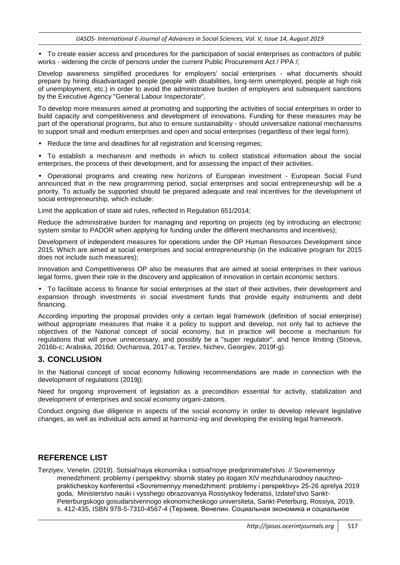• To create easier access and procedures for the participation of social enterprises as contractors of public works - widening the circle of persons under the current Public Procurement Act / PPA /;

Develop awareness simplified procedures for employers' social enterprises - what documents should prepare by hiring disadvantaged people (people with disabilities, long-term unemployed, people at high risk of unemployment, etc.) in order to avoid the administrative burden of employers and subsequent sanctions by the Executive Agency "General Labour Inspectorate".

To develop more measures aimed at promoting and supporting the activities of social enterprises in order to build capacity and competitiveness and development of innovations. Funding for these measures may be part of the operational programs, but also to ensure sustainability - should universalize national mechanisms to support small and medium enterprises and open and social enterprises (regardless of their legal form).

Reduce the time and deadlines for all registration and licensing regimes:

• To establish a mechanism and methods in which to collect statistical information about the social enterprises, the process of their development, and for assessing the impact of their activities.

• Operational programs and creating new horizons of European investment - European Social Fund announced that in the new programming period, social enterprises and social entrepreneurship will be a priority. To actually be supported should be prepared adequate and real incentives for the development of social entrepreneurship, which include:

Limit the application of state aid rules, reflected in Regulation 651/2014;

Reduce the administrative burden for managing and reporting on projects (eg by introducing an electronic system similar to PADOR when applying for funding under the different mechanisms and incentives);

Development of independent measures for operations under the OP Human Resources Development since 2015. Which are aimed at social enterprises and social entrepreneurship (in the indicative program for 2015 does not include such measures);

Innovation and Competitiveness OP also be measures that are aimed at social enterprises in their various legal forms, given their role in the discovery and application of innovation in certain economic sectors.

• To facilitate access to finance for social enterprises at the start of their activities, their development and expansion through investments in social investment funds that provide equity instruments and debt financing.

According importing the proposal provides only a certain legal framework (definition of social enterprise) without appropriate measures that make it a policy to support and develop, not only fail to achieve the objectives of the National concept of social economy, but in practice will become a mechanism for regulations that will prove unnecessary, and possibly be a "super regulator", and hence limiting (Stoeva, 2016b-c; Arabska, 2016d; Ovcharova, 2017-a; Terziev, Nichev, Georgiev, 2019f-g).

# **3. CONCLUSION**

In the National concept of social economy following recommendations are made in connection with the development of regulations (2019j):

Need for ongoing improvement of legislation as a precondition essential for activity, stabilization and development of enterprises and social economy organi-zations.

Conduct ongoing due diligence in aspects of the social economy in order to develop relevant legislative changes, as well as individual acts aimed at harmoniz-ing and developing the existing legal framework.

# **REFERENCE LIST**

Terziyev, Venelin. (2019). Sotsial'naya ekonomika i sotsial'noye predprinimatel'stvo. // Sovremennyy menedzhment: problemy i perspektivy: sbornik statey po itogam XIV mezhdunarodnoy nauchnoprakticheskoy konferentsii «Sovremennyy menedzhment: problemy i perspektivy» 25-26 aprelya 2019 goda, Ministerstvo nauki i vysshego obrazovaniya Rossiyskoy federatsii, Izdatel'stvo Sankt-Peterburgskogo gosudarstvennogo ekonomicheskogo universiteta, Sankt-Peterburg, Rossiya, 2019, s. 412-435, ISBN 978-5-7310-4567-4 (Терзиев, Венелин. Социальная экономика и социальное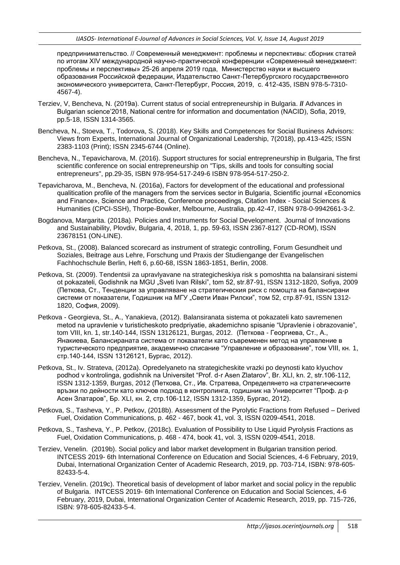предпринимательство. // Современный менеджмент: проблемы и перспективы: сборник статей по итогам XIV международной научно-практической конференции «Современный менеджмент: проблемы и перспективы» 25-26 апреля 2019 года, Министерство науки и высшего образования Российской федерации, Издательство Санкт-Петербургского государственного экономического университета, Санкт-Петербург, Россия, 2019, с. 412-435, ISBN 978-5-7310- 4567-4).

- Terziev, V, Bencheva, N. (2019а). Current status of social entrepreneurship in Bulgaria. **//** Advances in Bulgarian science'2018, National centre for information and documentation (NACID), Sofia, 2019, pp.5-18, ISSN 1314-3565.
- Bencheva, N., Stoeva, T., Todorova, S. (2018). Key Skills and Competences for Social Business Advisors: Views from Experts, International Journal of Organizational Leadership, 7(2018), pp.413-425; ISSN 2383-1103 (Print); ISSN 2345-6744 (Online).
- Bencheva, N., Tepavicharova, M. (2016). Support structures for social entrepreneurship in Bulgaria, The first scientific conference on social entrepreneurship on "Tips, skills and tools for consulting social entrepreneurs", pp.29-35, ISBN 978-954-517-249-6 ISBN 978-954-517-250-2.
- Tepavicharova, M., Bencheva, N. (2016а), Factors for development of the educational and professional qualitication profile of the managers from the services sector in Bulgaria, Scientific journal «Economics and Finance», Science and Practice, Conference proceedings, Citation Index - Social Sciences & Humanities (CPCI-SSH), Thorpe-Bowker, Melbourne, Australia, pp.42-47, ISBN 978-0-9942661-3-2.
- Bogdanova, Margarita. (2018a). Policies and Instruments for Social Development. Journal of Innovations and Sustainability, Plovdiv, Bulgaria, 4, 2018, 1, рp. 59-63, ISSN 2367-8127 (CD-ROM), ISSN 23678151 (ON-LINE).
- Petkova, St., (2008). Balanced scorecard as instrument of strategic controlling, Forum Gesundheit und Soziales, Beitrage aus Lehre, Forschung und Praxis der Studiengange der Evangelischen Fachhochschule Berlin, Heft 6, p.60-68, ISSN 1863-1851, Berlin, 2008.
- Petkova, St. (2009). Tendentsii za upravlyavane na strategicheskiya risk s pomoshtta na balansirani sistemi ot pokazateli, Godishnik na MGU "Sveti Ivan Rilski", tom 52, str.87-91, ISSN 1312-1820, Sofiya, 2009 (Петкова, Ст., Тенденции за управляване на стратегическия риск с помощта на балансирани системи от показатели, Годишник на МГУ "Свети Иван Рилски", том 52, стр.87-91, ISSN 1312- 1820, София, 2009).
- Petkova Georgieva, St., A., Yanakieva, (2012). Balansiranata sistema ot pokazateli kato savremenen metod na upravlenie v turisticheskoto predpriyatie, akademichno spisanie "Upravlenie i obrazovanie", tom VIII, kn. 1, str.140-144, ISSN 13126121, Burgas, 2012. (Петкова - Георгиева, Ст., А., Янакиева, Балансираната система от показатели като съвременен метод на управление в туристическото предприятие, академично списание "Управление и образование", том VIII, кн. 1, стр.140-144, ISSN 13126121, Бургас, 2012).
- Petkova, St., Iv. Strateva, (2012a). Opredelyaneto na strategicheskite vrazki po deynosti kato klyuchov podhod v kontrolinga, godishnik na Universitet "Prof. d-r Asen Zlatarov", Br. XLI, kn. 2, str.106-112, ISSN 1312-1359, Burgas, 2012 (Петкова, Ст., Ив. Стратева, Определянето на стратегическите връзки по дейности като ключов подход в контролинга, годишник на Университет "Проф. д-р Асен Златаров", Бр. XLI, кн. 2, стр.106-112, ISSN 1312-1359, Бургас, 2012).
- Petkova, S., Tasheva, Y., P. Petkov, (2018b). Assessment of the Pyrolytic Fractions from Refused Derived Fuel, Oxidation Communications, p. 462 - 467, book 41, vol. 3, ISSN 0209-4541, 2018.
- Petkova, S., Tasheva, Y., P. Petkov, (2018c). Evaluation of Possibility to Use Liquid Pyrolysis Fractions as Fuel, Oxidation Communications, p. 468 - 474, book 41, vol. 3, ISSN 0209-4541, 2018.
- Terziev, Venelin. (2019b). Social policy and labor market development in Bulgarian transition period. INTCESS 2019- 6th International Conference on Education and Social Sciences, 4-6 February, 2019, Dubai, International Organization Center of Academic Research, 2019, pp. 703-714, ISBN: 978-605- 82433-5-4.
- Terziev, Venelin. (2019c). Theoretical basis of development of labor market and social policy in the republic of Bulgaria. INTCESS 2019- 6th International Conference on Education and Social Sciences, 4-6 February, 2019, Dubai, International Organization Center of Academic Research, 2019, pp. 715-726, ISBN: 978-605-82433-5-4.